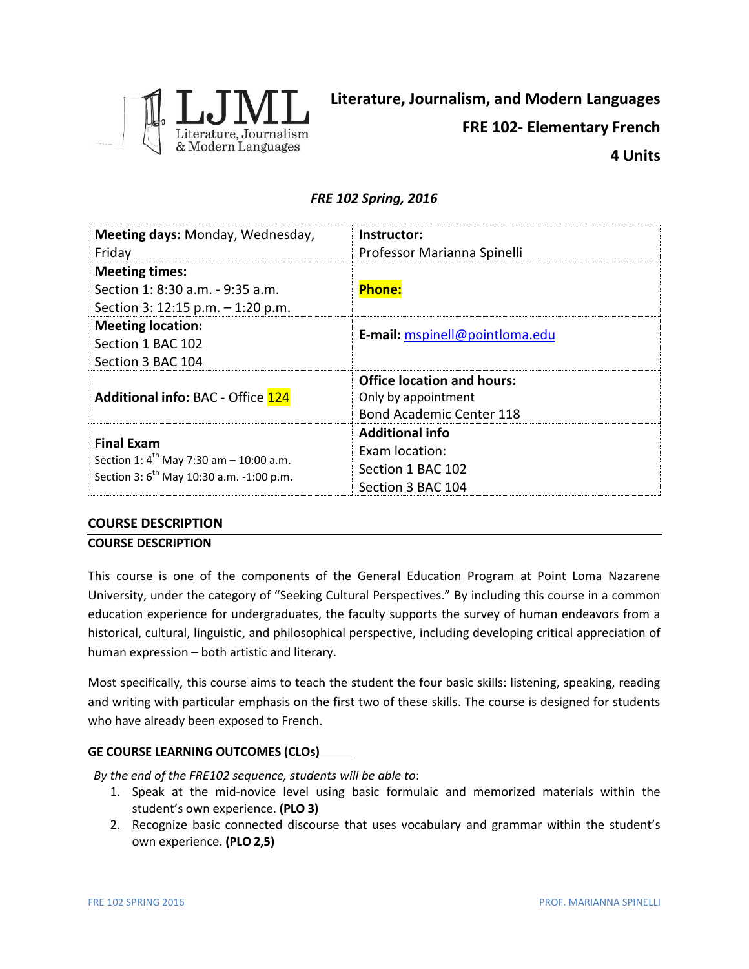

# *FRE 102 Spring, 2016*

| Meeting days: Monday, Wednesday,                                                                                          | Instructor:                       |  |
|---------------------------------------------------------------------------------------------------------------------------|-----------------------------------|--|
| Friday                                                                                                                    | Professor Marianna Spinelli       |  |
| <b>Meeting times:</b>                                                                                                     |                                   |  |
| Section 1: 8:30 a.m. - 9:35 a.m.                                                                                          | <b>Phone:</b>                     |  |
| Section 3: 12:15 p.m. $-$ 1:20 p.m.                                                                                       |                                   |  |
| <b>Meeting location:</b>                                                                                                  | E-mail: mspinell@pointloma.edu    |  |
| Section 1 BAC 102                                                                                                         |                                   |  |
| Section 3 BAC 104                                                                                                         |                                   |  |
|                                                                                                                           | <b>Office location and hours:</b> |  |
| <b>Additional info: BAC - Office 124</b>                                                                                  | Only by appointment               |  |
|                                                                                                                           | <b>Bond Academic Center 118</b>   |  |
| <b>Final Exam</b><br>Section 1: $4^{th}$ May 7:30 am - 10:00 a.m.<br>Section 3: 6 <sup>th</sup> May 10:30 a.m. -1:00 p.m. | <b>Additional info</b>            |  |
|                                                                                                                           | <b>Exam location:</b>             |  |
|                                                                                                                           | Section 1 BAC 102                 |  |
|                                                                                                                           | Section 3 BAC 104                 |  |

## **COURSE DESCRIPTION**

## **COURSE DESCRIPTION**

This course is one of the components of the General Education Program at Point Loma Nazarene University, under the category of "Seeking Cultural Perspectives." By including this course in a common education experience for undergraduates, the faculty supports the survey of human endeavors from a historical, cultural, linguistic, and philosophical perspective, including developing critical appreciation of human expression – both artistic and literary.

Most specifically, this course aims to teach the student the four basic skills: listening, speaking, reading and writing with particular emphasis on the first two of these skills. The course is designed for students who have already been exposed to French.

# **GE COURSE LEARNING OUTCOMES (CLOs)**

*By the end of the FRE102 sequence, students will be able to*:

- 1. Speak at the mid-novice level using basic formulaic and memorized materials within the student's own experience. **(PLO 3)**
- 2. Recognize basic connected discourse that uses vocabulary and grammar within the student's own experience. **(PLO 2,5)**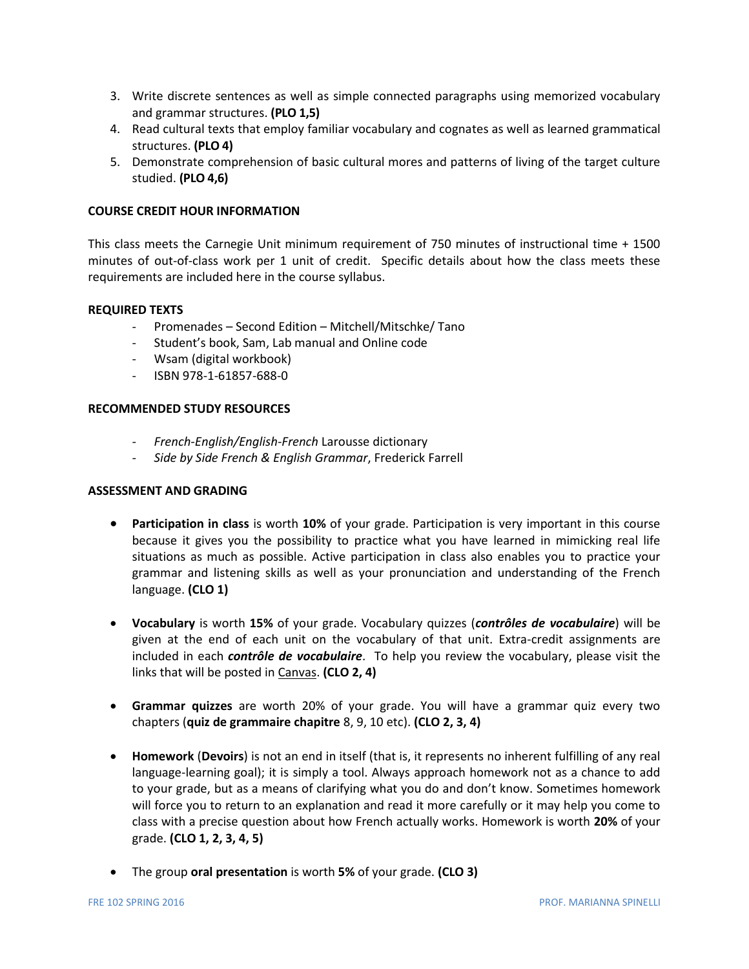- 3. Write discrete sentences as well as simple connected paragraphs using memorized vocabulary and grammar structures. **(PLO 1,5)**
- 4. Read cultural texts that employ familiar vocabulary and cognates as well as learned grammatical structures. **(PLO 4)**
- 5. Demonstrate comprehension of basic cultural mores and patterns of living of the target culture studied. **(PLO 4,6)**

## **COURSE CREDIT HOUR INFORMATION**

This class meets the Carnegie Unit minimum requirement of 750 minutes of instructional time + 1500 minutes of out-of-class work per 1 unit of credit. Specific details about how the class meets these requirements are included here in the course syllabus.

## **REQUIRED TEXTS**

- Promenades Second Edition Mitchell/Mitschke/ Tano
- Student's book, Sam, Lab manual and Online code
- Wsam (digital workbook)
- ISBN 978-1-61857-688-0

## **RECOMMENDED STUDY RESOURCES**

- *- French-English/English-French* Larousse dictionary
- *- Side by Side French & English Grammar*, Frederick Farrell

## **ASSESSMENT AND GRADING**

- **Participation in class** is worth **10%** of your grade. Participation is very important in this course because it gives you the possibility to practice what you have learned in mimicking real life situations as much as possible. Active participation in class also enables you to practice your grammar and listening skills as well as your pronunciation and understanding of the French language. **(CLO 1)**
- **Vocabulary** is worth **15%** of your grade. Vocabulary quizzes (*contrôles de vocabulaire*) will be given at the end of each unit on the vocabulary of that unit. Extra-credit assignments are included in each *contrôle de vocabulaire*. To help you review the vocabulary, please visit the links that will be posted in Canvas. **(CLO 2, 4)**
- **Grammar quizzes** are worth 20% of your grade. You will have a grammar quiz every two chapters (**quiz de grammaire chapitre** 8, 9, 10 etc). **(CLO 2, 3, 4)**
- **Homework** (**Devoirs**) is not an end in itself (that is, it represents no inherent fulfilling of any real language-learning goal); it is simply a tool. Always approach homework not as a chance to add to your grade, but as a means of clarifying what you do and don't know. Sometimes homework will force you to return to an explanation and read it more carefully or it may help you come to class with a precise question about how French actually works. Homework is worth **20%** of your grade. **(CLO 1, 2, 3, 4, 5)**
- The group **oral presentation** is worth **5%** of your grade. **(CLO 3)**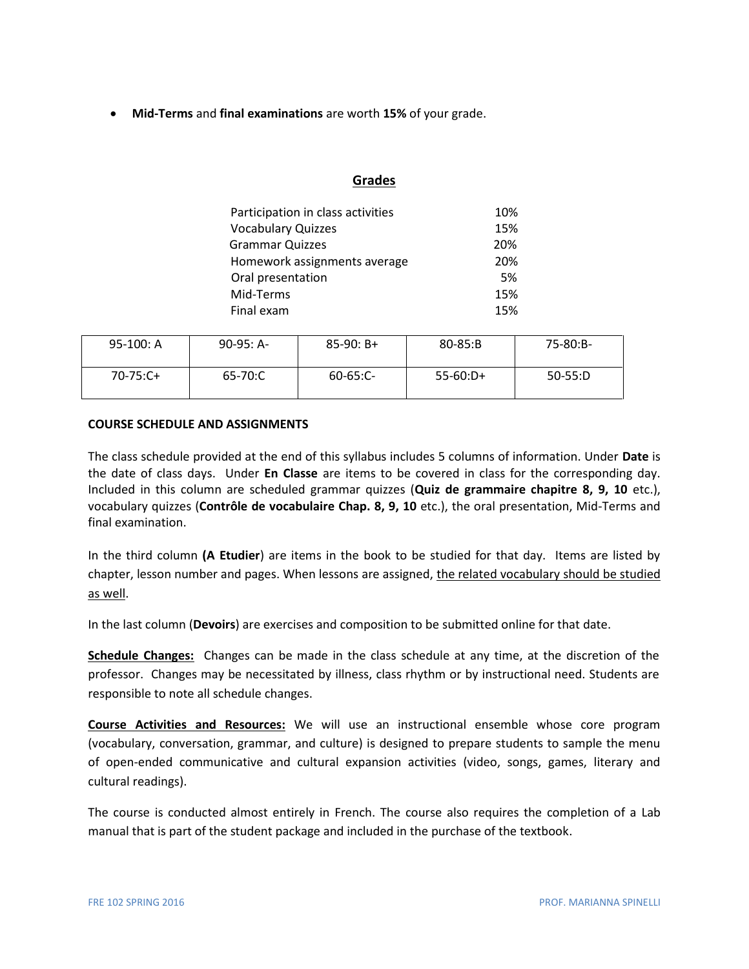**Mid-Terms** and **final examinations** are worth **15%** of your grade.

## **Grades**

| Participation in class activities | 10% |
|-----------------------------------|-----|
| <b>Vocabulary Quizzes</b>         | 15% |
| <b>Grammar Quizzes</b>            | 20% |
| Homework assignments average      | 20% |
| Oral presentation                 | 5%  |
| Mid-Terms                         | 15% |
| Final exam                        | 15% |

| $95-100: A$ | $90-95: A-$ | $85-90: B+$   | $80 - 85: B$ | 75-80:B-  |
|-------------|-------------|---------------|--------------|-----------|
| $70-75:C+$  | 65-70:C     | $60 - 65:$ C- | $55-60:D+$   | $50-55:D$ |

## **COURSE SCHEDULE AND ASSIGNMENTS**

The class schedule provided at the end of this syllabus includes 5 columns of information. Under **Date** is the date of class days. Under **En Classe** are items to be covered in class for the corresponding day. Included in this column are scheduled grammar quizzes (**Quiz de grammaire chapitre 8, 9, 10** etc.), vocabulary quizzes (**Contrôle de vocabulaire Chap. 8, 9, 10** etc.), the oral presentation, Mid-Terms and final examination.

In the third column **(A Etudier**) are items in the book to be studied for that day. Items are listed by chapter, lesson number and pages. When lessons are assigned, the related vocabulary should be studied as well.

In the last column (**Devoirs**) are exercises and composition to be submitted online for that date.

**Schedule Changes:** Changes can be made in the class schedule at any time, at the discretion of the professor. Changes may be necessitated by illness, class rhythm or by instructional need. Students are responsible to note all schedule changes.

**Course Activities and Resources:** We will use an instructional ensemble whose core program (vocabulary, conversation, grammar, and culture) is designed to prepare students to sample the menu of open-ended communicative and cultural expansion activities (video, songs, games, literary and cultural readings).

The course is conducted almost entirely in French. The course also requires the completion of a Lab manual that is part of the student package and included in the purchase of the textbook.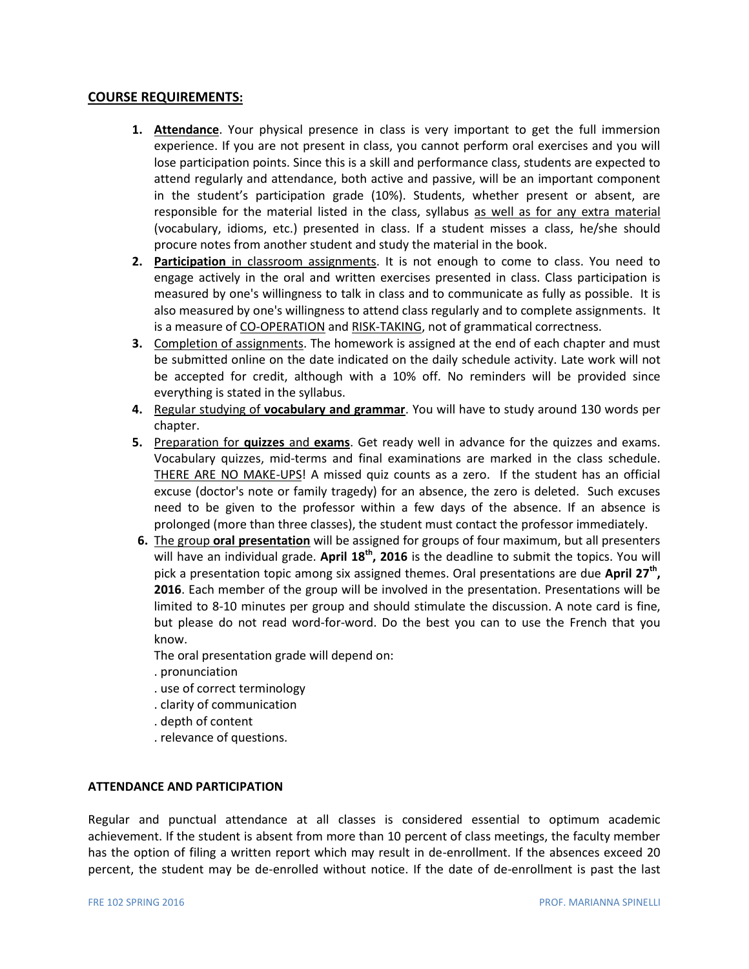## **COURSE REQUIREMENTS:**

- **1. Attendance**. Your physical presence in class is very important to get the full immersion experience. If you are not present in class, you cannot perform oral exercises and you will lose participation points. Since this is a skill and performance class, students are expected to attend regularly and attendance, both active and passive, will be an important component in the student's participation grade (10%). Students, whether present or absent, are responsible for the material listed in the class, syllabus as well as for any extra material (vocabulary, idioms, etc.) presented in class. If a student misses a class, he/she should procure notes from another student and study the material in the book.
- **2. Participation** in classroom assignments. It is not enough to come to class. You need to engage actively in the oral and written exercises presented in class. Class participation is measured by one's willingness to talk in class and to communicate as fully as possible. It is also measured by one's willingness to attend class regularly and to complete assignments. It is a measure of CO-OPERATION and RISK-TAKING, not of grammatical correctness.
- **3.** Completion of assignments. The homework is assigned at the end of each chapter and must be submitted online on the date indicated on the daily schedule activity. Late work will not be accepted for credit, although with a 10% off. No reminders will be provided since everything is stated in the syllabus.
- **4.** Regular studying of **vocabulary and grammar**. You will have to study around 130 words per chapter.
- **5.** Preparation for **quizzes** and **exams**. Get ready well in advance for the quizzes and exams. Vocabulary quizzes, mid-terms and final examinations are marked in the class schedule. THERE ARE NO MAKE-UPS! A missed quiz counts as a zero. If the student has an official excuse (doctor's note or family tragedy) for an absence, the zero is deleted. Such excuses need to be given to the professor within a few days of the absence. If an absence is prolonged (more than three classes), the student must contact the professor immediately.
- **6.** The group **oral presentation** will be assigned for groups of four maximum, but all presenters will have an individual grade. **April 18th , 2016** is the deadline to submit the topics. You will pick a presentation topic among six assigned themes. Oral presentations are due **April 27th , 2016**. Each member of the group will be involved in the presentation. Presentations will be limited to 8-10 minutes per group and should stimulate the discussion. A note card is fine, but please do not read word-for-word. Do the best you can to use the French that you know.

The oral presentation grade will depend on:

- . pronunciation
- . use of correct terminology
- . clarity of communication
- . depth of content
- . relevance of questions.

#### **ATTENDANCE AND PARTICIPATION**

Regular and punctual attendance at all classes is considered essential to optimum academic achievement. If the student is absent from more than 10 percent of class meetings, the faculty member has the option of filing a written report which may result in de-enrollment. If the absences exceed 20 percent, the student may be de-enrolled without notice. If the date of de-enrollment is past the last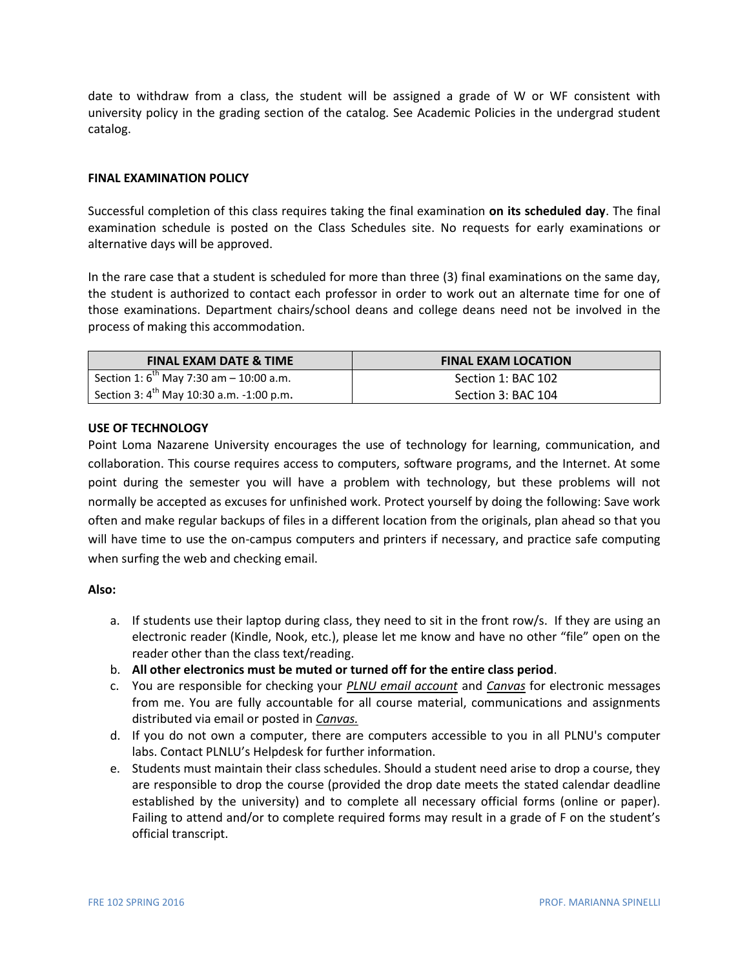date to withdraw from a class, the student will be assigned a grade of W or WF consistent with university policy in the grading section of the catalog. See Academic Policies in the undergrad student catalog.

## **FINAL EXAMINATION POLICY**

Successful completion of this class requires taking the final examination **on its scheduled day**. The final examination schedule is posted on the Class Schedules site. No requests for early examinations or alternative days will be approved.

In the rare case that a student is scheduled for more than three (3) final examinations on the same day, the student is authorized to contact each professor in order to work out an alternate time for one of those examinations. Department chairs/school deans and college deans need not be involved in the process of making this accommodation.

| <b>FINAL EXAM DATE &amp; TIME</b>             | <b>FINAL EXAM LOCATION</b> |
|-----------------------------------------------|----------------------------|
| Section 1: $6^{th}$ May 7:30 am - 10:00 a.m.  | Section 1: BAC 102         |
| Section 3: $4^{th}$ May 10:30 a.m. -1:00 p.m. | Section 3: BAC 104         |

#### **USE OF TECHNOLOGY**

Point Loma Nazarene University encourages the use of technology for learning, communication, and collaboration. This course requires access to computers, software programs, and the Internet. At some point during the semester you will have a problem with technology, but these problems will not normally be accepted as excuses for unfinished work. Protect yourself by doing the following: Save work often and make regular backups of files in a different location from the originals, plan ahead so that you will have time to use the on-campus computers and printers if necessary, and practice safe computing when surfing the web and checking email.

#### **Also:**

- a. If students use their laptop during class, they need to sit in the front row/s. If they are using an electronic reader (Kindle, Nook, etc.), please let me know and have no other "file" open on the reader other than the class text/reading.
- b. **All other electronics must be muted or turned off for the entire class period**.
- c. You are responsible for checking your *PLNU email account* and *Canvas* for electronic messages from me. You are fully accountable for all course material, communications and assignments distributed via email or posted in *Canvas.*
- d. If you do not own a computer, there are computers accessible to you in all PLNU's computer labs. Contact PLNLU's Helpdesk for further information.
- e. Students must maintain their class schedules. Should a student need arise to drop a course, they are responsible to drop the course (provided the drop date meets the stated calendar deadline established by the university) and to complete all necessary official forms (online or paper). Failing to attend and/or to complete required forms may result in a grade of F on the student's official transcript.